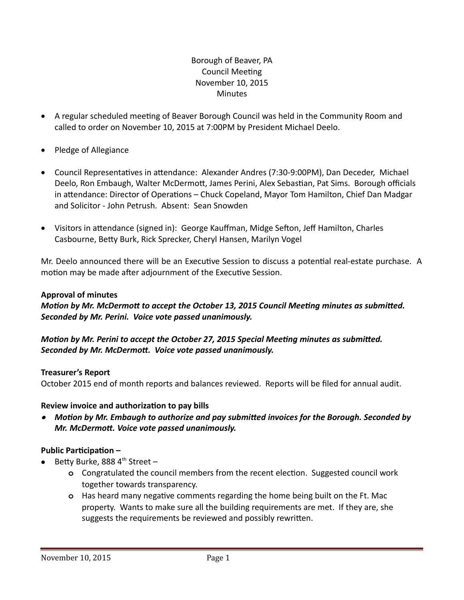## Borough of Beaver, PA Council Meeting November 10, 2015 **Minutes**

- A regular scheduled meeting of Beaver Borough Council was held in the Community Room and called to order on November 10, 2015 at 7:00PM by President Michael Deelo.
- Pledge of Allegiance
- Council Representatives in attendance: Alexander Andres (7:30-9:00PM), Dan Deceder, Michael Deelo, Ron Embaugh, Walter McDermott, James Perini, Alex Sebastian, Pat Sims. Borough officials in attendance: Director of Operations – Chuck Copeland, Mayor Tom Hamilton, Chief Dan Madgar and Solicitor - John Petrush. Absent: Sean Snowden
- Visitors in attendance (signed in): George Kauffman, Midge Sefton, Jeff Hamilton, Charles Casbourne, Betty Burk, Rick Sprecker, Cheryl Hansen, Marilyn Vogel

Mr. Deelo announced there will be an Executive Session to discuss a potential real-estate purchase. A motion may be made after adjournment of the Executive Session.

#### **Approval of minutes**

*Motion by Mr. McDermott to accept the October 13, 2015 Council Meeting minutes as submitted. Seconded by Mr. Perini. Voice vote passed unanimously.* 

### *Motion by Mr. Perini to accept the October 27, 2015 Special Meeting minutes as submitted. Seconded by Mr. McDermott. Voice vote passed unanimously.*

### **Treasurer's Report**

October 2015 end of month reports and balances reviewed. Reports will be filed for annual audit.

### **Review invoice and authorization to pay bills**

 *Motion by Mr. Embaugh to authorize and pay submitted invoices for the Borough. Seconded by Mr. McDermott. Voice vote passed unanimously.*

### **Public Participation –**

- Betty Burke, 888  $4^{\text{th}}$  Street
	- **o** Congratulated the council members from the recent election. Suggested council work together towards transparency.
	- **o** Has heard many negative comments regarding the home being built on the Ft. Mac property. Wants to make sure all the building requirements are met. If they are, she suggests the requirements be reviewed and possibly rewritten.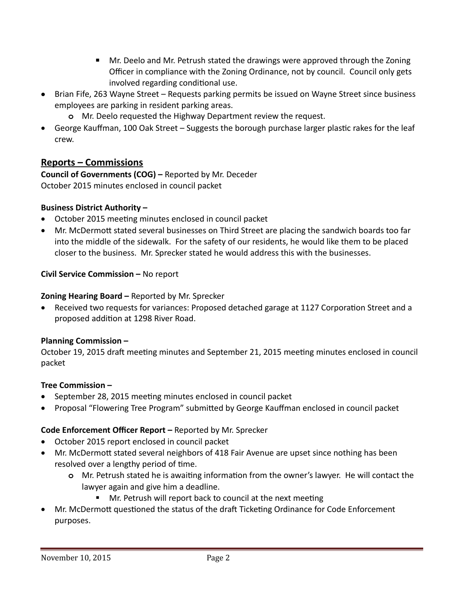- Mr. Deelo and Mr. Petrush stated the drawings were approved through the Zoning Officer in compliance with the Zoning Ordinance, not by council. Council only gets involved regarding conditional use.
- Brian Fife, 263 Wayne Street Requests parking permits be issued on Wayne Street since business employees are parking in resident parking areas.
	- **o** Mr. Deelo requested the Highway Department review the request.
- George Kauffman, 100 Oak Street Suggests the borough purchase larger plastic rakes for the leaf crew.

# **Reports – Commissions**

**Council of Governments (COG) –** Reported by Mr. Deceder October 2015 minutes enclosed in council packet

### **Business District Authority –**

- October 2015 meeting minutes enclosed in council packet
- Mr. McDermott stated several businesses on Third Street are placing the sandwich boards too far into the middle of the sidewalk. For the safety of our residents, he would like them to be placed closer to the business. Mr. Sprecker stated he would address this with the businesses.

### **Civil Service Commission –** No report

### **Zoning Hearing Board –** Reported by Mr. Sprecker

 Received two requests for variances: Proposed detached garage at 1127 Corporation Street and a proposed addition at 1298 River Road.

### **Planning Commission –**

October 19, 2015 draft meeting minutes and September 21, 2015 meeting minutes enclosed in council packet

### **Tree Commission –**

- September 28, 2015 meeting minutes enclosed in council packet
- Proposal "Flowering Tree Program" submitted by George Kauffman enclosed in council packet

## **Code Enforcement Officer Report –** Reported by Mr. Sprecker

- October 2015 report enclosed in council packet
- Mr. McDermott stated several neighbors of 418 Fair Avenue are upset since nothing has been resolved over a lengthy period of time.
	- **o** Mr. Petrush stated he is awaiting information from the owner's lawyer. He will contact the lawyer again and give him a deadline.
		- Mr. Petrush will report back to council at the next meeting
- Mr. McDermott questioned the status of the draft Ticketing Ordinance for Code Enforcement purposes.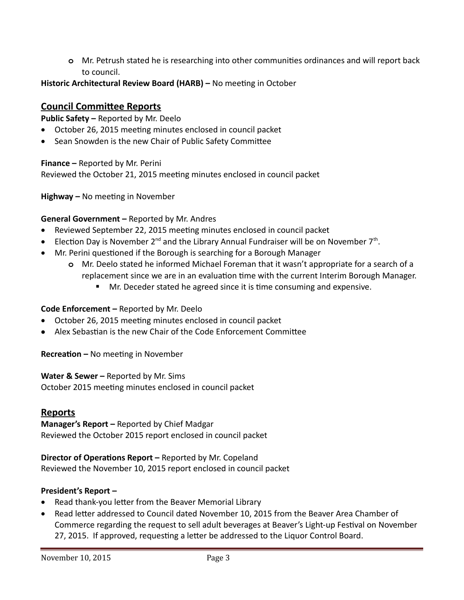**o** Mr. Petrush stated he is researching into other communities ordinances and will report back to council.

## **Historic Architectural Review Board (HARB) –** No meeting in October

# **Council Committee Reports**

**Public Safety –** Reported by Mr. Deelo

- October 26, 2015 meeting minutes enclosed in council packet
- Sean Snowden is the new Chair of Public Safety Committee

**Finance –** Reported by Mr. Perini

Reviewed the October 21, 2015 meeting minutes enclosed in council packet

**Highway –** No meeting in November

### **General Government –** Reported by Mr. Andres

- Reviewed September 22, 2015 meeting minutes enclosed in council packet
- Election Day is November 2<sup>nd</sup> and the Library Annual Fundraiser will be on November 7<sup>th</sup>.
- Mr. Perini questioned if the Borough is searching for a Borough Manager
	- **o** Mr. Deelo stated he informed Michael Foreman that it wasn't appropriate for a search of a replacement since we are in an evaluation time with the current Interim Borough Manager.
		- **Mr.** Deceder stated he agreed since it is time consuming and expensive.

### **Code Enforcement –** Reported by Mr. Deelo

- October 26, 2015 meeting minutes enclosed in council packet
- Alex Sebastian is the new Chair of the Code Enforcement Committee

**Recreation –** No meeting in November

### **Water & Sewer –** Reported by Mr. Sims

October 2015 meeting minutes enclosed in council packet

## **Reports**

**Manager's Report –** Reported by Chief Madgar Reviewed the October 2015 report enclosed in council packet

**Director of Operations Report –** Reported by Mr. Copeland Reviewed the November 10, 2015 report enclosed in council packet

### **President's Report –**

- Read thank-you letter from the Beaver Memorial Library
- Read letter addressed to Council dated November 10, 2015 from the Beaver Area Chamber of Commerce regarding the request to sell adult beverages at Beaver's Light-up Festival on November 27, 2015. If approved, requesting a letter be addressed to the Liquor Control Board.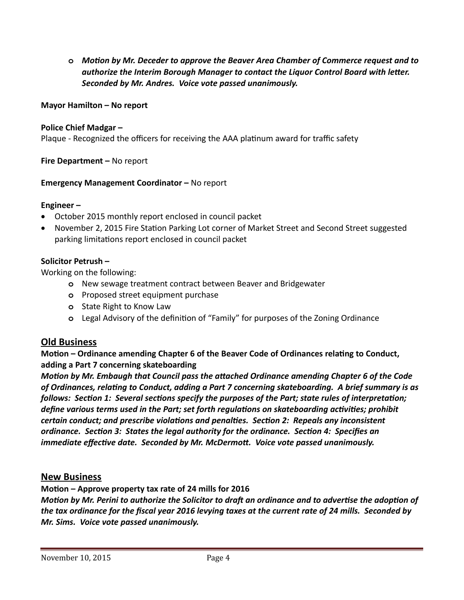**o** *Motion by Mr. Deceder to approve the Beaver Area Chamber of Commerce request and to authorize the Interim Borough Manager to contact the Liquor Control Board with letter. Seconded by Mr. Andres. Voice vote passed unanimously.*

#### **Mayor Hamilton – No report**

#### **Police Chief Madgar –**

Plaque - Recognized the officers for receiving the AAA platinum award for traffic safety

**Fire Department –** No report

#### **Emergency Management Coordinator –** No report

#### **Engineer –**

- October 2015 monthly report enclosed in council packet
- November 2, 2015 Fire Station Parking Lot corner of Market Street and Second Street suggested parking limitations report enclosed in council packet

#### **Solicitor Petrush –**

Working on the following:

- **o** New sewage treatment contract between Beaver and Bridgewater
- **o** Proposed street equipment purchase
- **o** State Right to Know Law
- **o** Legal Advisory of the definition of "Family" for purposes of the Zoning Ordinance

### **Old Business**

**Motion – Ordinance amending Chapter 6 of the Beaver Code of Ordinances relating to Conduct, adding a Part 7 concerning skateboarding**

*Motion by Mr. Embaugh that Council pass the attached Ordinance amending Chapter 6 of the Code of Ordinances, relating to Conduct, adding a Part 7 concerning skateboarding. A brief summary is as follows: Section 1: Several sections specify the purposes of the Part; state rules of interpretation; define various terms used in the Part; set forth regulations on skateboarding activities; prohibit certain conduct; and prescribe violations and penalties. Section 2: Repeals any inconsistent ordinance. Section 3: States the legal authority for the ordinance. Section 4: Specifies an immediate effective date. Seconded by Mr. McDermott. Voice vote passed unanimously.*

### **New Business**

**Motion – Approve property tax rate of 24 mills for 2016**

*Motion by Mr. Perini to authorize the Solicitor to draft an ordinance and to advertise the adoption of the tax ordinance for the fiscal year 2016 levying taxes at the current rate of 24 mills. Seconded by Mr. Sims. Voice vote passed unanimously.*